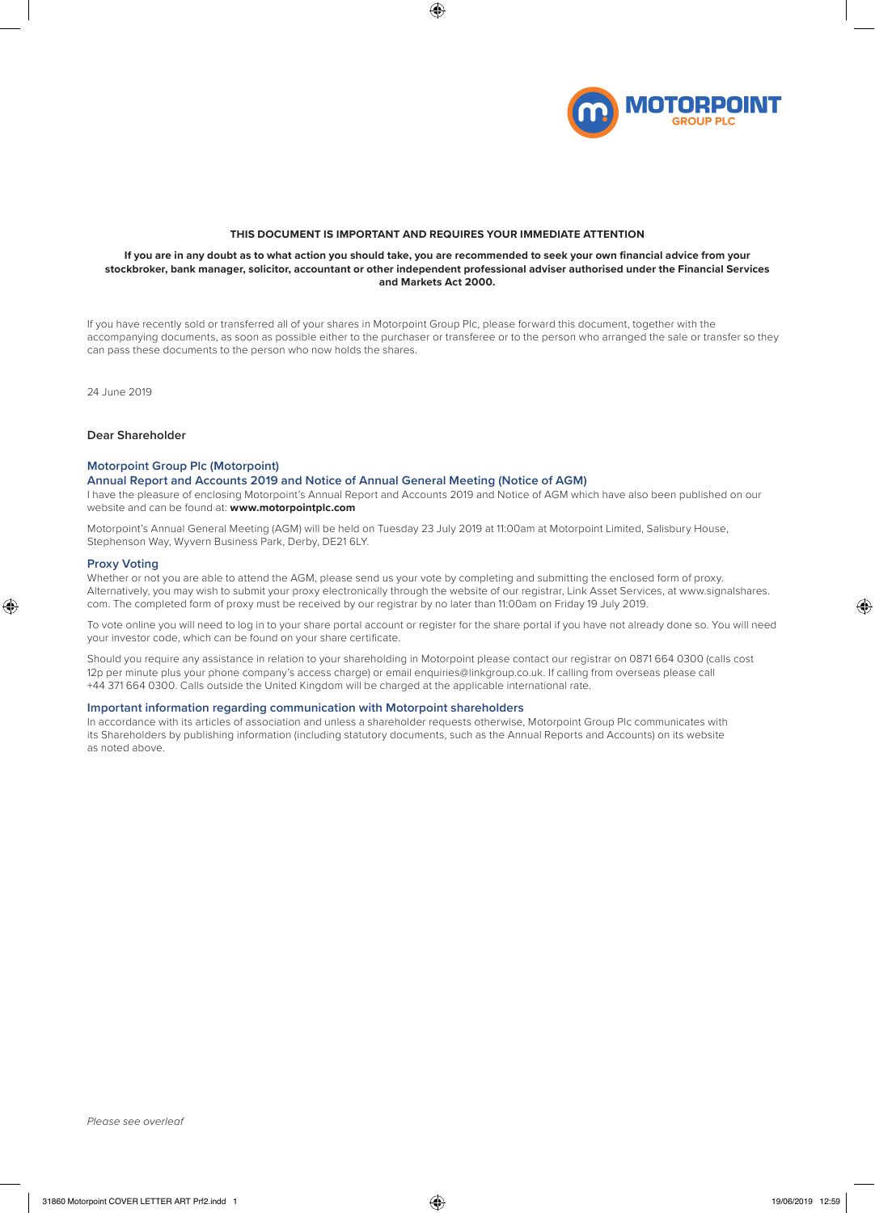

#### **THIS DOCUMENT IS IMPORTANT AND REQUIRES YOUR IMMEDIATE ATTENTION**

#### **If you are in any doubt as to what action you should take, you are recommended to seek your own financial advice from your stockbroker, bank manager, solicitor, accountant or other independent professional adviser authorised under the Financial Services and Markets Act 2000.**

If you have recently sold or transferred all of your shares in Motorpoint Group Plc, please forward this document, together with the accompanying documents, as soon as possible either to the purchaser or transferee or to the person who arranged the sale or transfer so they can pass these documents to the person who now holds the shares.

24 June 2019

# **Dear Shareholder**

#### **Motorpoint Group Plc (Motorpoint)**

# **Annual Report and Accounts 2019 and Notice of Annual General Meeting (Notice of AGM)**

I have the pleasure of enclosing Motorpoint's Annual Report and Accounts 2019 and Notice of AGM which have also been published on our website and can be found at: **www.motorpointplc.com**

Motorpoint's Annual General Meeting (AGM) will be held on Tuesday 23 July 2019 at 11:00am at Motorpoint Limited, Salisbury House, Stephenson Way, Wyvern Business Park, Derby, DE21 6LY.

#### **Proxy Voting**

Whether or not you are able to attend the AGM, please send us your vote by completing and submitting the enclosed form of proxy. Alternatively, you may wish to submit your proxy electronically through the website of our registrar, Link Asset Services, at www.signalshares. com. The completed form of proxy must be received by our registrar by no later than 11:00am on Friday 19 July 2019.

To vote online you will need to log in to your share portal account or register for the share portal if you have not already done so. You will need your investor code, which can be found on your share certificate.

Should you require any assistance in relation to your shareholding in Motorpoint please contact our registrar on 0871 664 0300 (calls cost 12p per minute plus your phone company's access charge) or email enquiries@linkgroup.co.uk. If calling from overseas please call +44 371 664 0300. Calls outside the United Kingdom will be charged at the applicable international rate.

### **Important information regarding communication with Motorpoint shareholders**

In accordance with its articles of association and unless a shareholder requests otherwise, Motorpoint Group Plc communicates with its Shareholders by publishing information (including statutory documents, such as the Annual Reports and Accounts) on its website as noted above.